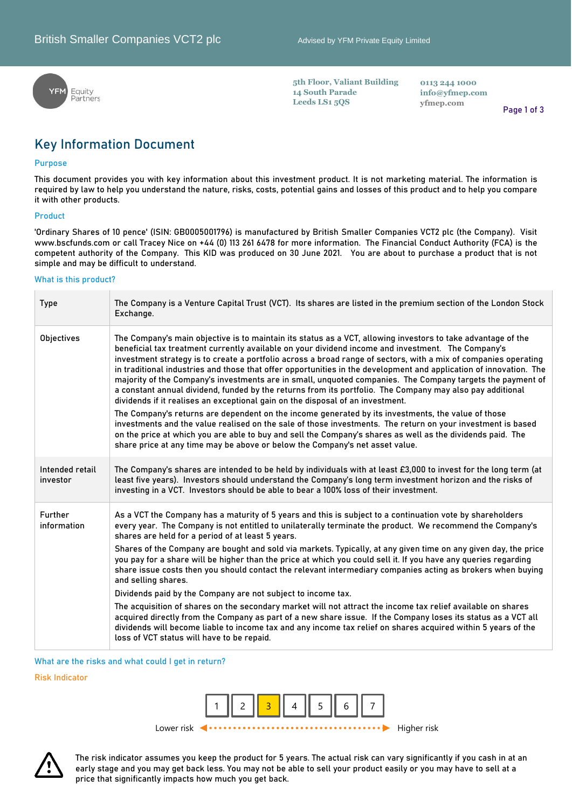

**5th Floor, Valiant Building 14 South Parade Leeds LS1 5QS**

**0113 244 1000 [info@yfmep.com](mailto:info@yfmep.com) yfmep.com**

**Page 1 of 3**

# **Key Information Document**

### **Purpose**

**This document provides you with key information about this investment product. It is not marketing material. The information is required by law to help you understand the nature, risks, costs, potential gains and losses of this product and to help you compare it with other products.**

#### **Product**

**'Ordinary Shares of 10 pence' (ISIN: GB0005001796) is manufactured by British Smaller Companies VCT2 plc (the Company). Visit www.bscfunds.com or call Tracey Nice on +44 (0) 113 261 6478 for more information. The Financial Conduct Authority (FCA) is the competent authority of the Company. This KID was produced on 30 June 2021. You are about to purchase a product that is not simple and may be difficult to understand.** 

#### **What is this product?**

| <b>Type</b>                 | The Company is a Venture Capital Trust (VCT). Its shares are listed in the premium section of the London Stock<br>Exchange.                                                                                                                                                                                                                                                                                                                                                                                                                                                                                                                                                                                                                                              |
|-----------------------------|--------------------------------------------------------------------------------------------------------------------------------------------------------------------------------------------------------------------------------------------------------------------------------------------------------------------------------------------------------------------------------------------------------------------------------------------------------------------------------------------------------------------------------------------------------------------------------------------------------------------------------------------------------------------------------------------------------------------------------------------------------------------------|
| Objectives                  | The Company's main objective is to maintain its status as a VCT, allowing investors to take advantage of the<br>beneficial tax treatment currently available on your dividend income and investment. The Company's<br>investment strategy is to create a portfolio across a broad range of sectors, with a mix of companies operating<br>in traditional industries and those that offer opportunities in the development and application of innovation. The<br>majority of the Company's investments are in small, unquoted companies. The Company targets the payment of<br>a constant annual dividend, funded by the returns from its portfolio. The Company may also pay additional<br>dividends if it realises an exceptional gain on the disposal of an investment. |
|                             | The Company's returns are dependent on the income generated by its investments, the value of those<br>investments and the value realised on the sale of those investments. The return on your investment is based<br>on the price at which you are able to buy and sell the Company's shares as well as the dividends paid. The<br>share price at any time may be above or below the Company's net asset value.                                                                                                                                                                                                                                                                                                                                                          |
| Intended retail<br>investor | The Company's shares are intended to be held by individuals with at least £3,000 to invest for the long term (at<br>least five years). Investors should understand the Company's long term investment horizon and the risks of<br>investing in a VCT. Investors should be able to bear a 100% loss of their investment.                                                                                                                                                                                                                                                                                                                                                                                                                                                  |
| Further<br>information      | As a VCT the Company has a maturity of 5 years and this is subject to a continuation vote by shareholders<br>every year. The Company is not entitled to unilaterally terminate the product. We recommend the Company's<br>shares are held for a period of at least 5 years.                                                                                                                                                                                                                                                                                                                                                                                                                                                                                              |
|                             | Shares of the Company are bought and sold via markets. Typically, at any given time on any given day, the price<br>you pay for a share will be higher than the price at which you could sell it. If you have any queries regarding<br>share issue costs then you should contact the relevant intermediary companies acting as brokers when buying<br>and selling shares.                                                                                                                                                                                                                                                                                                                                                                                                 |
|                             | Dividends paid by the Company are not subject to income tax.                                                                                                                                                                                                                                                                                                                                                                                                                                                                                                                                                                                                                                                                                                             |
|                             | The acquisition of shares on the secondary market will not attract the income tax relief available on shares<br>acquired directly from the Company as part of a new share issue. If the Company loses its status as a VCT all<br>dividends will become liable to income tax and any income tax relief on shares acquired within 5 years of the<br>loss of VCT status will have to be repaid.                                                                                                                                                                                                                                                                                                                                                                             |

**What are the risks and what could I get in return?**

**Risk Indicator**



**The risk indicator assumes you keep the product for 5 years. The actual risk can vary significantly if you cash in at an early stage and you may get back less. You may not be able to sell your product easily or you may have to sell at a price that significantly impacts how much you get back.**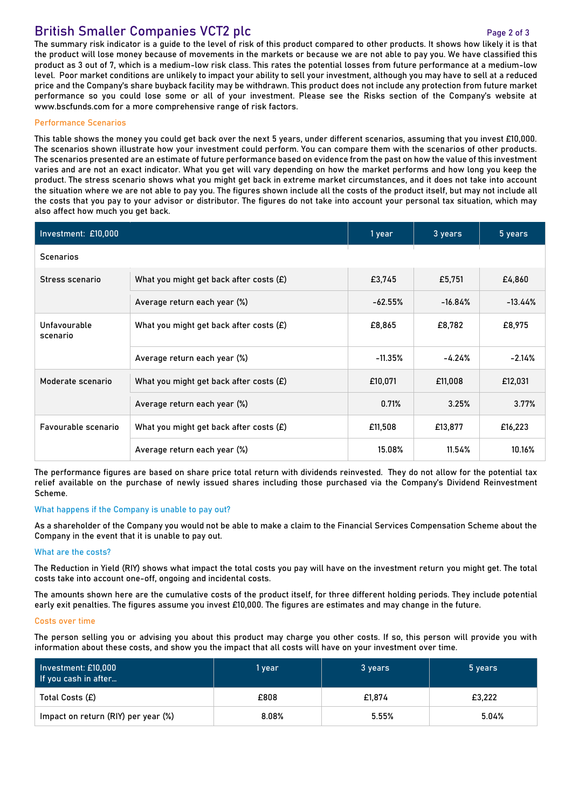## **British Smaller Companies VCT2 plc** *Page 2 of 3*

#### **The summary risk indicator is a guide to the level of risk of this product compared to other products. It shows how likely it is that the product will lose money because of movements in the markets or because we are not able to pay you. We have classified this product as 3 out of 7, which is a medium-low risk class. This rates the potential losses from future performance at a medium-low level. Poor market conditions are unlikely to impact your ability to sell your investment, although you may have to sell at a reduced price and the Company's share buyback facility may be withdrawn. This product does not include any protection from future market performance so you could lose some or all of your investment. Please see the Risks section of the Company's website at www.bscfunds.com for a more comprehensive range of risk factors.**

#### **Performance Scenarios**

**This table shows the money you could get back over the next 5 years, under different scenarios, assuming that you invest £10,000. The scenarios shown illustrate how your investment could perform. You can compare them with the scenarios of other products. The scenarios presented are an estimate of future performance based on evidence from the past on how the value of this investment varies and are not an exact indicator. What you get will vary depending on how the market performs and how long you keep the product. The stress scenario shows what you might get back in extreme market circumstances, and it does not take into account the situation where we are not able to pay you. The figures shown include all the costs of the product itself, but may not include all the costs that you pay to your advisor or distributor. The figures do not take into account your personal tax situation, which may also affect how much you get back.** 

| Investment: £10,000      | 1 year                                    | 3 years   | 5 years   |            |
|--------------------------|-------------------------------------------|-----------|-----------|------------|
| <b>Scenarios</b>         |                                           |           |           |            |
| Stress scenario          | What you might get back after costs $(E)$ | £3,745    | £5,751    | £4,860     |
|                          | Average return each year (%)              | $-62.55%$ | $-16.84%$ | $-13.44\%$ |
| Unfavourable<br>scenario | What you might get back after costs (£)   | £8,865    | £8,782    | £8,975     |
|                          | Average return each year (%)              | $-11.35%$ | $-4.24%$  | $-2.14%$   |
| Moderate scenario        | What you might get back after costs $(E)$ | £10,071   | £11,008   | £12,031    |
|                          | Average return each year (%)              | 0.71%     | 3.25%     | 3.77%      |
| Favourable scenario      | What you might get back after costs $(E)$ | £11,508   | £13,877   | £16,223    |
|                          | Average return each year (%)              | 15.08%    | 11.54%    | 10.16%     |

**The performance figures are based on share price total return with dividends reinvested. They do not allow for the potential tax relief available on the purchase of newly issued shares including those purchased via the Company's Dividend Reinvestment Scheme.**

#### **What happens if the Company is unable to pay out?**

**As a shareholder of the Company you would not be able to make a claim to the Financial Services Compensation Scheme about the Company in the event that it is unable to pay out.**

#### **What are the costs?**

**The Reduction in Yield (RIY) shows what impact the total costs you pay will have on the investment return you might get. The total costs take into account one-off, ongoing and incidental costs.**

**The amounts shown here are the cumulative costs of the product itself, for three different holding periods. They include potential early exit penalties. The figures assume you invest £10,000. The figures are estimates and may change in the future.**

#### **Costs over time**

**The person selling you or advising you about this product may charge you other costs. If so, this person will provide you with information about these costs, and show you the impact that all costs will have on your investment over time.**

| Investment: £10,000  <br>l If you cash in after | 1 year | 3 years | 5 years |
|-------------------------------------------------|--------|---------|---------|
| Total Costs (£)                                 | £808   | £1.874  | £3,222  |
| Impact on return (RIY) per year (%)             | 8.08%  | 5.55%   | 5.04%   |